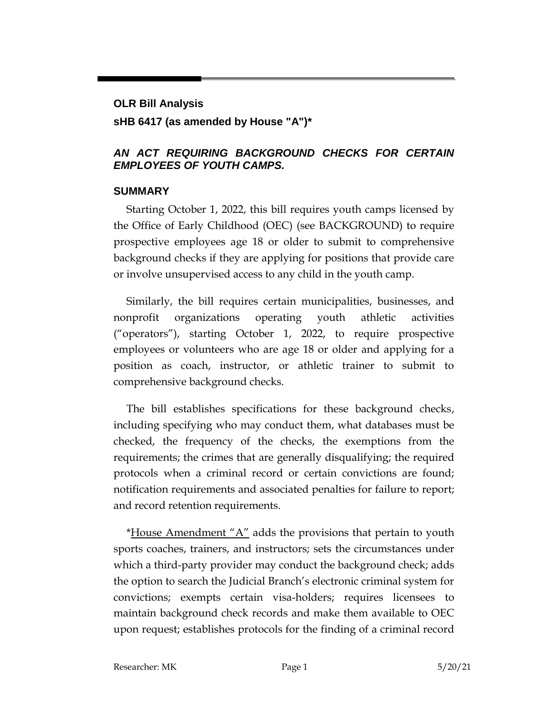# **OLR Bill Analysis sHB 6417 (as amended by House "A")\***

#### *AN ACT REQUIRING BACKGROUND CHECKS FOR CERTAIN EMPLOYEES OF YOUTH CAMPS.*

#### **SUMMARY**

Starting October 1, 2022, this bill requires youth camps licensed by the Office of Early Childhood (OEC) (see BACKGROUND) to require prospective employees age 18 or older to submit to comprehensive background checks if they are applying for positions that provide care or involve unsupervised access to any child in the youth camp.

Similarly, the bill requires certain municipalities, businesses, and nonprofit organizations operating youth athletic activities ("operators"), starting October 1, 2022, to require prospective employees or volunteers who are age 18 or older and applying for a position as coach, instructor, or athletic trainer to submit to comprehensive background checks.

The bill establishes specifications for these background checks, including specifying who may conduct them, what databases must be checked, the frequency of the checks, the exemptions from the requirements; the crimes that are generally disqualifying; the required protocols when a criminal record or certain convictions are found; notification requirements and associated penalties for failure to report; and record retention requirements.

\*House Amendment " $A$ " adds the provisions that pertain to youth sports coaches, trainers, and instructors; sets the circumstances under which a third-party provider may conduct the background check; adds the option to search the Judicial Branch's electronic criminal system for convictions; exempts certain visa-holders; requires licensees to maintain background check records and make them available to OEC upon request; establishes protocols for the finding of a criminal record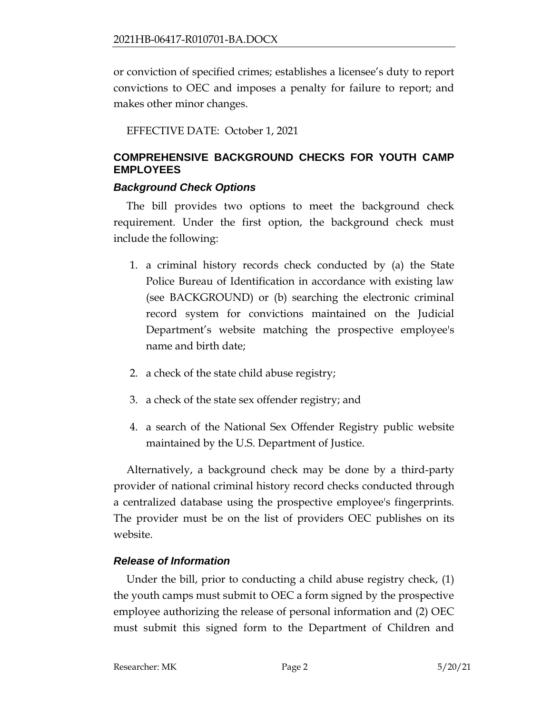or conviction of specified crimes; establishes a licensee's duty to report convictions to OEC and imposes a penalty for failure to report; and makes other minor changes.

EFFECTIVE DATE: October 1, 2021

## **COMPREHENSIVE BACKGROUND CHECKS FOR YOUTH CAMP EMPLOYEES**

### *Background Check Options*

The bill provides two options to meet the background check requirement. Under the first option, the background check must include the following:

- 1. a criminal history records check conducted by (a) the State Police Bureau of Identification in accordance with existing law (see BACKGROUND) or (b) searching the electronic criminal record system for convictions maintained on the Judicial Department's website matching the prospective employee's name and birth date;
- 2. a check of the state child abuse registry;
- 3. a check of the state sex offender registry; and
- 4. a search of the National Sex Offender Registry public website maintained by the U.S. Department of Justice.

Alternatively, a background check may be done by a third-party provider of national criminal history record checks conducted through a centralized database using the prospective employee's fingerprints. The provider must be on the list of providers OEC publishes on its website.

## *Release of Information*

Under the bill, prior to conducting a child abuse registry check, (1) the youth camps must submit to OEC a form signed by the prospective employee authorizing the release of personal information and (2) OEC must submit this signed form to the Department of Children and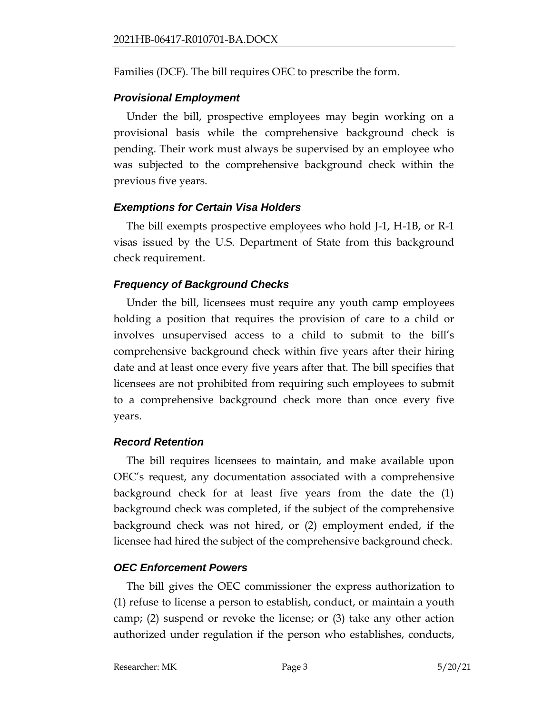Families (DCF). The bill requires OEC to prescribe the form.

## *Provisional Employment*

Under the bill, prospective employees may begin working on a provisional basis while the comprehensive background check is pending. Their work must always be supervised by an employee who was subjected to the comprehensive background check within the previous five years.

## *Exemptions for Certain Visa Holders*

The bill exempts prospective employees who hold J-1, H-1B, or R-1 visas issued by the U.S. Department of State from this background check requirement.

## *Frequency of Background Checks*

Under the bill, licensees must require any youth camp employees holding a position that requires the provision of care to a child or involves unsupervised access to a child to submit to the bill's comprehensive background check within five years after their hiring date and at least once every five years after that. The bill specifies that licensees are not prohibited from requiring such employees to submit to a comprehensive background check more than once every five years.

## *Record Retention*

The bill requires licensees to maintain, and make available upon OEC's request, any documentation associated with a comprehensive background check for at least five years from the date the (1) background check was completed, if the subject of the comprehensive background check was not hired, or (2) employment ended, if the licensee had hired the subject of the comprehensive background check.

## *OEC Enforcement Powers*

The bill gives the OEC commissioner the express authorization to (1) refuse to license a person to establish, conduct, or maintain a youth camp; (2) suspend or revoke the license; or (3) take any other action authorized under regulation if the person who establishes, conducts,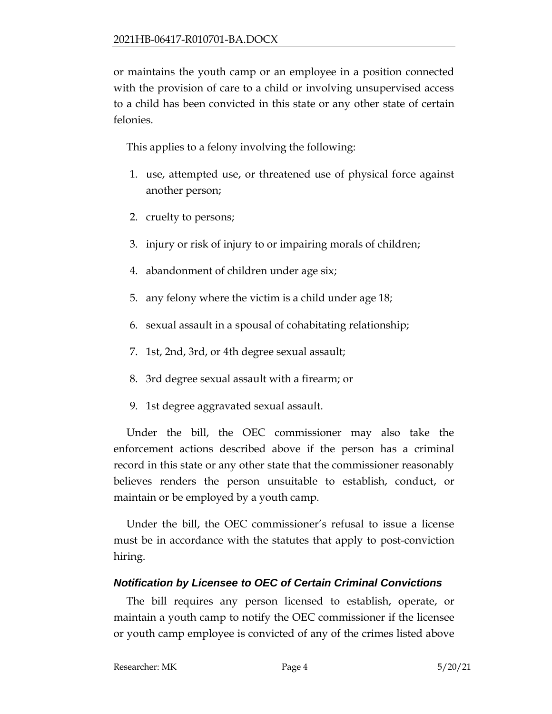or maintains the youth camp or an employee in a position connected with the provision of care to a child or involving unsupervised access to a child has been convicted in this state or any other state of certain felonies.

This applies to a felony involving the following:

- 1. use, attempted use, or threatened use of physical force against another person;
- 2. cruelty to persons;
- 3. injury or risk of injury to or impairing morals of children;
- 4. abandonment of children under age six;
- 5. any felony where the victim is a child under age 18;
- 6. sexual assault in a spousal of cohabitating relationship;
- 7. 1st, 2nd, 3rd, or 4th degree sexual assault;
- 8. 3rd degree sexual assault with a firearm; or
- 9. 1st degree aggravated sexual assault.

Under the bill, the OEC commissioner may also take the enforcement actions described above if the person has a criminal record in this state or any other state that the commissioner reasonably believes renders the person unsuitable to establish, conduct, or maintain or be employed by a youth camp.

Under the bill, the OEC commissioner's refusal to issue a license must be in accordance with the statutes that apply to post-conviction hiring.

## *Notification by Licensee to OEC of Certain Criminal Convictions*

The bill requires any person licensed to establish, operate, or maintain a youth camp to notify the OEC commissioner if the licensee or youth camp employee is convicted of any of the crimes listed above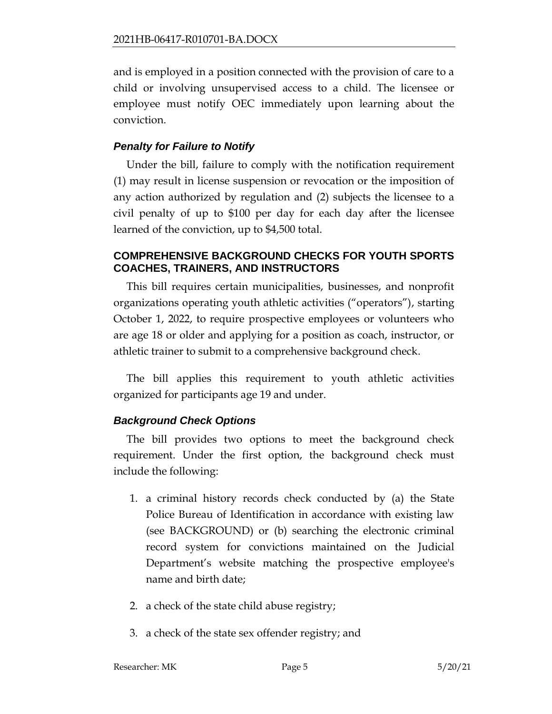and is employed in a position connected with the provision of care to a child or involving unsupervised access to a child. The licensee or employee must notify OEC immediately upon learning about the conviction.

#### *Penalty for Failure to Notify*

Under the bill, failure to comply with the notification requirement (1) may result in license suspension or revocation or the imposition of any action authorized by regulation and (2) subjects the licensee to a civil penalty of up to \$100 per day for each day after the licensee learned of the conviction, up to \$4,500 total.

#### **COMPREHENSIVE BACKGROUND CHECKS FOR YOUTH SPORTS COACHES, TRAINERS, AND INSTRUCTORS**

This bill requires certain municipalities, businesses, and nonprofit organizations operating youth athletic activities ("operators"), starting October 1, 2022, to require prospective employees or volunteers who are age 18 or older and applying for a position as coach, instructor, or athletic trainer to submit to a comprehensive background check.

The bill applies this requirement to youth athletic activities organized for participants age 19 and under.

#### *Background Check Options*

The bill provides two options to meet the background check requirement. Under the first option, the background check must include the following:

- 1. a criminal history records check conducted by (a) the State Police Bureau of Identification in accordance with existing law (see BACKGROUND) or (b) searching the electronic criminal record system for convictions maintained on the Judicial Department's website matching the prospective employee's name and birth date;
- 2. a check of the state child abuse registry;
- 3. a check of the state sex offender registry; and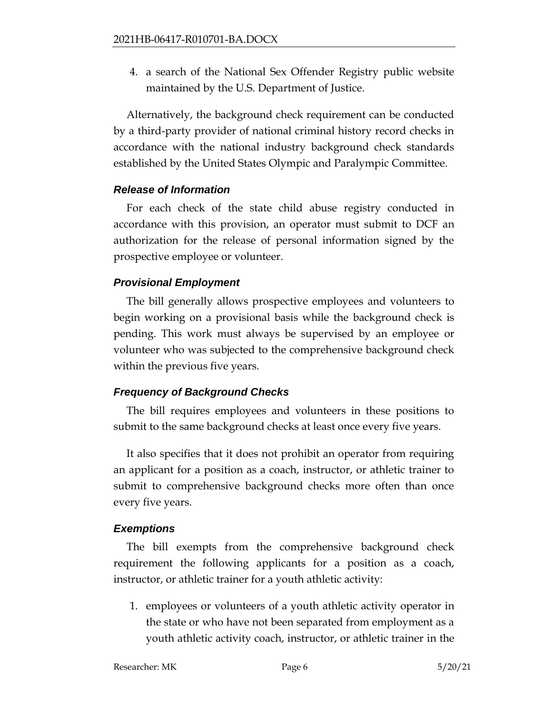4. a search of the National Sex Offender Registry public website maintained by the U.S. Department of Justice.

Alternatively, the background check requirement can be conducted by a third-party provider of national criminal history record checks in accordance with the national industry background check standards established by the United States Olympic and Paralympic Committee.

#### *Release of Information*

For each check of the state child abuse registry conducted in accordance with this provision, an operator must submit to DCF an authorization for the release of personal information signed by the prospective employee or volunteer.

#### *Provisional Employment*

The bill generally allows prospective employees and volunteers to begin working on a provisional basis while the background check is pending. This work must always be supervised by an employee or volunteer who was subjected to the comprehensive background check within the previous five years.

#### *Frequency of Background Checks*

The bill requires employees and volunteers in these positions to submit to the same background checks at least once every five years.

It also specifies that it does not prohibit an operator from requiring an applicant for a position as a coach, instructor, or athletic trainer to submit to comprehensive background checks more often than once every five years.

#### *Exemptions*

The bill exempts from the comprehensive background check requirement the following applicants for a position as a coach, instructor, or athletic trainer for a youth athletic activity:

1. employees or volunteers of a youth athletic activity operator in the state or who have not been separated from employment as a youth athletic activity coach, instructor, or athletic trainer in the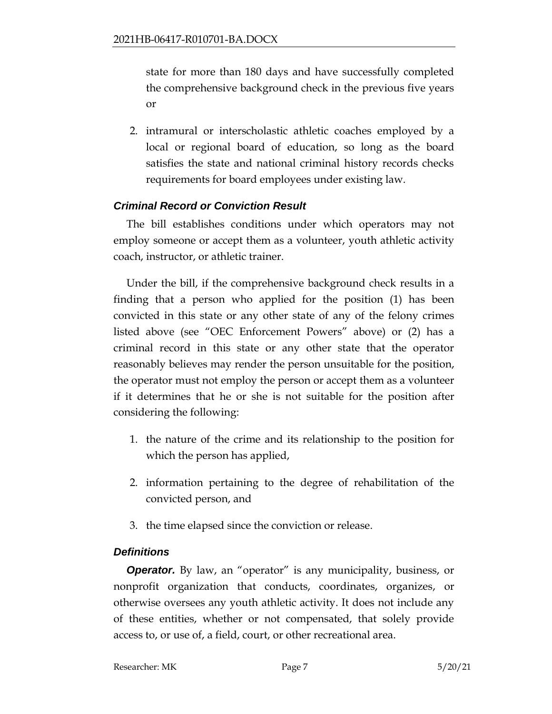state for more than 180 days and have successfully completed the comprehensive background check in the previous five years or

2. intramural or interscholastic athletic coaches employed by a local or regional board of education, so long as the board satisfies the state and national criminal history records checks requirements for board employees under existing law.

## *Criminal Record or Conviction Result*

The bill establishes conditions under which operators may not employ someone or accept them as a volunteer, youth athletic activity coach, instructor, or athletic trainer.

Under the bill, if the comprehensive background check results in a finding that a person who applied for the position (1) has been convicted in this state or any other state of any of the felony crimes listed above (see "OEC Enforcement Powers" above) or (2) has a criminal record in this state or any other state that the operator reasonably believes may render the person unsuitable for the position, the operator must not employ the person or accept them as a volunteer if it determines that he or she is not suitable for the position after considering the following:

- 1. the nature of the crime and its relationship to the position for which the person has applied,
- 2. information pertaining to the degree of rehabilitation of the convicted person, and
- 3. the time elapsed since the conviction or release.

## *Definitions*

**Operator.** By law, an "operator" is any municipality, business, or nonprofit organization that conducts, coordinates, organizes, or otherwise oversees any youth athletic activity. It does not include any of these entities, whether or not compensated, that solely provide access to, or use of, a field, court, or other recreational area.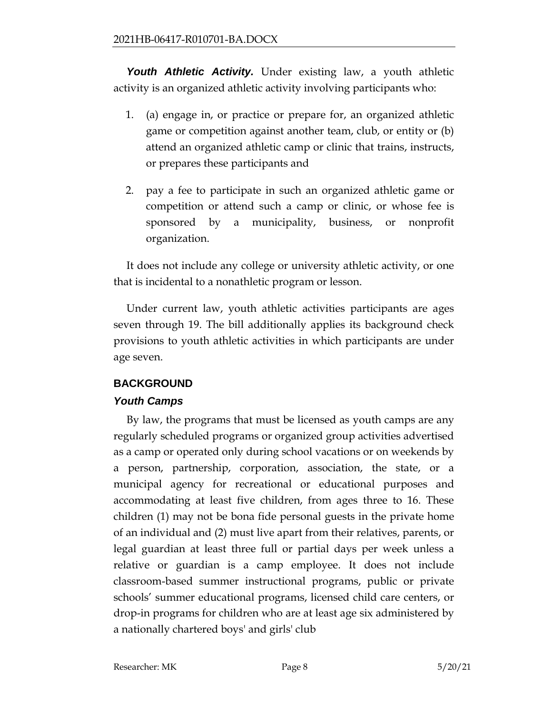*Youth Athletic Activity.* Under existing law, a youth athletic activity is an organized athletic activity involving participants who:

- 1. (a) engage in, or practice or prepare for, an organized athletic game or competition against another team, club, or entity or (b) attend an organized athletic camp or clinic that trains, instructs, or prepares these participants and
- 2. pay a fee to participate in such an organized athletic game or competition or attend such a camp or clinic, or whose fee is sponsored by a municipality, business, or nonprofit organization.

It does not include any college or university athletic activity, or one that is incidental to a nonathletic program or lesson.

Under current law, youth athletic activities participants are ages seven through 19. The bill additionally applies its background check provisions to youth athletic activities in which participants are under age seven.

## **BACKGROUND**

## *Youth Camps*

By law, the programs that must be licensed as youth camps are any regularly scheduled programs or organized group activities advertised as a camp or operated only during school vacations or on weekends by a person, partnership, corporation, association, the state, or a municipal agency for recreational or educational purposes and accommodating at least five children, from ages three to 16. These children (1) may not be bona fide personal guests in the private home of an individual and (2) must live apart from their relatives, parents, or legal guardian at least three full or partial days per week unless a relative or guardian is a camp employee. It does not include classroom-based summer instructional programs, public or private schools' summer educational programs, licensed child care centers, or drop-in programs for children who are at least age six administered by a nationally chartered boys' and girls' club